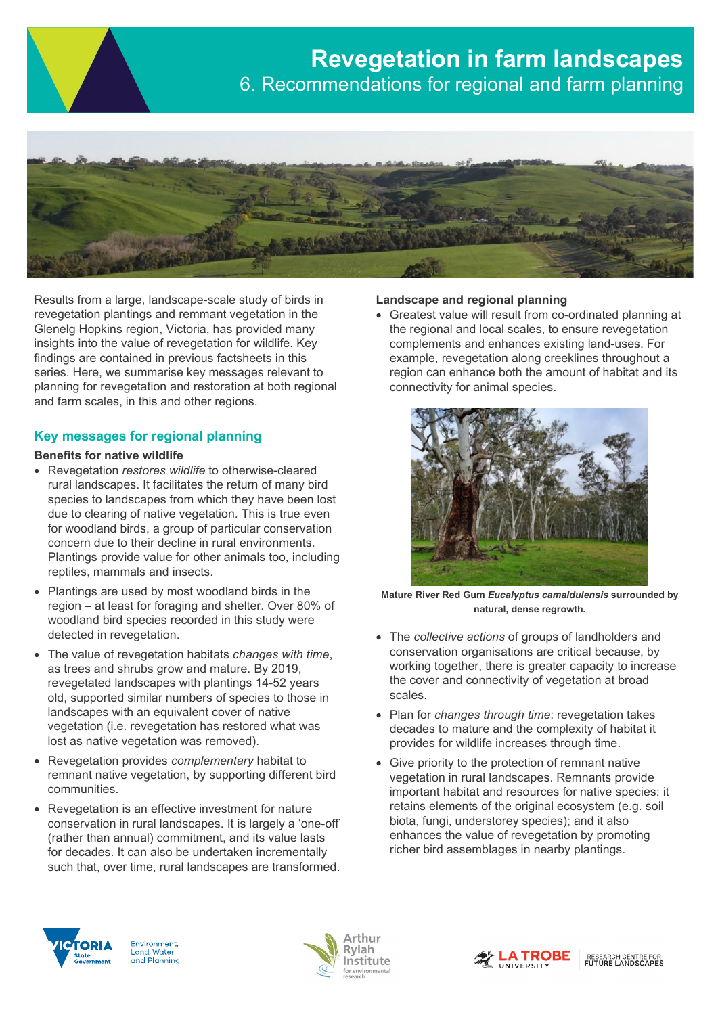

Results from a large, landscape-scale study of birds in revegetation plantings and remmant vegetation in the Glenelg Hopkins region, Victoria, has provided many insights into the value of revegetation for wildlife. Key findings are contained in previous factsheets in this series. Here, we summarise key messages relevant to planning for revegetation and restoration at both regional and farm scales, in this and other regions.

# **Key messages for regional planning**

#### **Benefits for native wildlife**

- Revegetation *restores wildlife* to otherwise-cleared rural landscapes. It facilitates the return of many bird species to landscapes from which they have been lost due to clearing of native vegetation. This is true even for woodland birds, a group of particular conservation concern due to their decline in rural environments. Plantings provide value for other animals too, including reptiles, mammals and insects.
- Plantings are used by most woodland birds in the region – at least for foraging and shelter. Over 80% of woodland bird species recorded in this study were detected in revegetation.
- The value of revegetation habitats *changes with time*, as trees and shrubs grow and mature. By 2019, revegetated landscapes with plantings 14-52 years old, supported similar numbers of species to those in landscapes with an equivalent cover of native vegetation (i.e. revegetation has restored what was lost as native vegetation was removed).
- Revegetation provides *complementary* habitat to remnant native vegetation, by supporting different bird communities.
- Revegetation is an effective investment for nature conservation in rural landscapes. It is largely a 'one-off' (rather than annual) commitment, and its value lasts for decades. It can also be undertaken incrementally such that, over time, rural landscapes are transformed.

## **Landscape and regional planning**

• Greatest value will result from co-ordinated planning at the regional and local scales, to ensure revegetation complements and enhances existing land-uses. For example, revegetation along creeklines throughout a region can enhance both the amount of habitat and its connectivity for animal species.



**Mature River Red Gum** *Eucalyptus camaldulensis* **surrounded by natural, dense regrowth.**

- The *collective actions* of groups of landholders and conservation organisations are critical because, by working together, there is greater capacity to increase the cover and connectivity of vegetation at broad scales.
- Plan for *changes through time*: revegetation takes decades to mature and the complexity of habitat it provides for wildlife increases through time.
- Give priority to the protection of remnant native vegetation in rural landscapes. Remnants provide important habitat and resources for native species: it retains elements of the original ecosystem (e.g. soil biota, fungi, understorey species); and it also enhances the value of revegetation by promoting richer bird assemblages in nearby plantings.